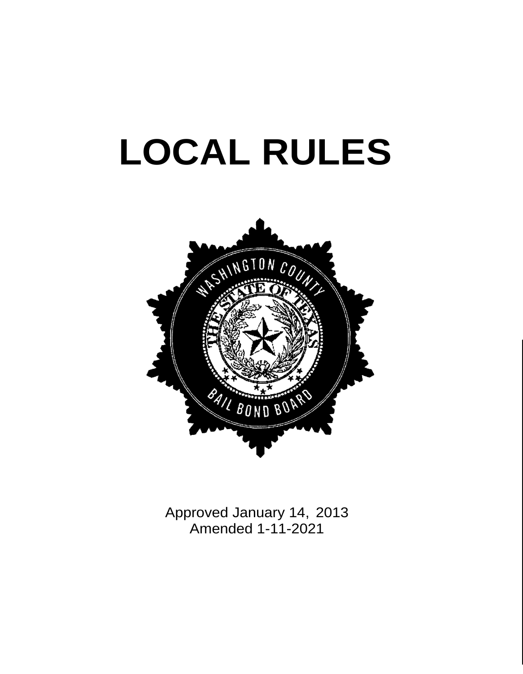# **LOCAL RULES**



Approved January 14, 2013 Amended 1-11-2021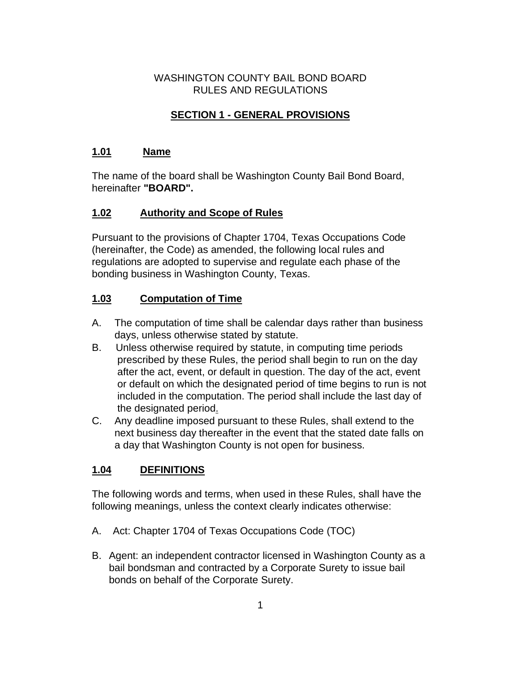#### WASHINGTON COUNTY BAIL BOND BOARD RULES AND REGULATIONS

## **SECTION 1 - GENERAL PROVISIONS**

#### **1.01 Name**

The name of the board shall be Washington County Bail Bond Board, hereinafter **"BOARD".**

#### **1.02 Authority and Scope of Rules**

Pursuant to the provisions of Chapter 1704, Texas Occupations Code (hereinafter, the Code) as amended, the following local rules and regulations are adopted to supervise and regulate each phase of the bonding business in Washington County, Texas.

#### **1.03 Computation of Time**

- A. The computation of time shall be calendar days rather than business days, unless otherwise stated by statute.
- B. Unless otherwise required by statute, in computing time periods prescribed by these Rules, the period shall begin to run on the day after the act, event, or default in question. The day of the act, event or default on which the designated period of time begins to run is not included in the computation. The period shall include the last day of the designated period.
- C. Any deadline imposed pursuant to these Rules, shall extend to the next business day thereafter in the event that the stated date falls on a day that Washington County is not open for business.

#### **1.04 DEFINITIONS**

The following words and terms, when used in these Rules, shall have the following meanings, unless the context clearly indicates otherwise:

- A. Act: Chapter 1704 of Texas Occupations Code (TOC)
- B. Agent: an independent contractor licensed in Washington County as a bail bondsman and contracted by a Corporate Surety to issue bail bonds on behalf of the Corporate Surety.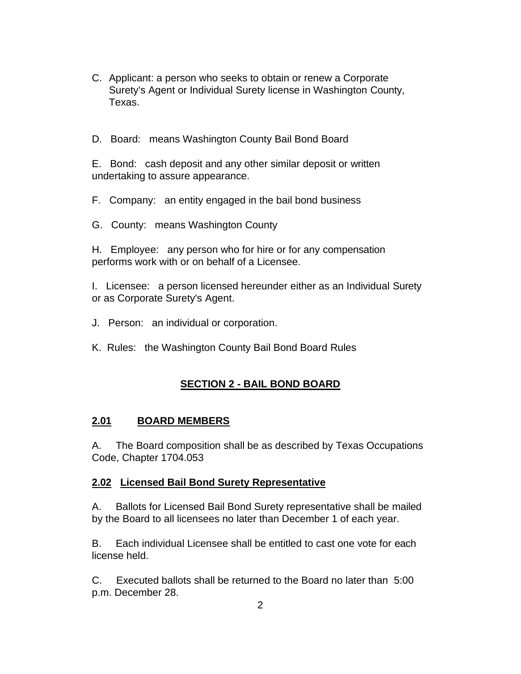- C. Applicant: a person who seeks to obtain or renew a Corporate Surety's Agent or Individual Surety license in Washington County, Texas.
- D. Board: means Washington County Bail Bond Board

E. Bond: cash deposit and any other similar deposit or written undertaking to assure appearance.

- F. Company: an entity engaged in the bail bond business
- G. County: means Washington County

H. Employee: any person who for hire or for any compensation performs work with or on behalf of a Licensee.

I. Licensee: a person licensed hereunder either as an Individual Surety or as Corporate Surety's Agent.

- J. Person: an individual or corporation.
- K. Rules: the Washington County Bail Bond Board Rules

## **SECTION 2 - BAIL BOND BOARD**

#### **2.01 BOARD MEMBERS**

A. The Board composition shall be as described by Texas Occupations Code, Chapter 1704.053

#### **2.02 Licensed Bail Bond Surety Representative**

A. Ballots for Licensed Bail Bond Surety representative shall be mailed by the Board to all licensees no later than December 1 of each year.

B. Each individual Licensee shall be entitled to cast one vote for each license held.

C. Executed ballots shall be returned to the Board no later than 5:00 p.m. December 28.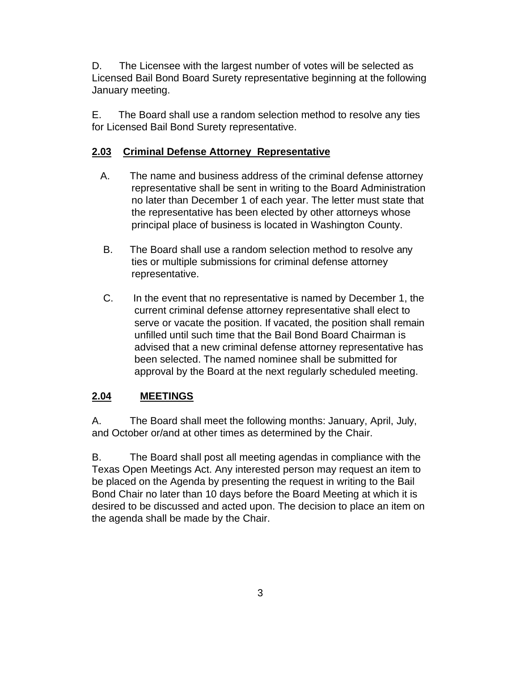D. The Licensee with the largest number of votes will be selected as Licensed Bail Bond Board Surety representative beginning at the following January meeting.

E. The Board shall use a random selection method to resolve any ties for Licensed Bail Bond Surety representative.

#### **2.03 Criminal Defense Attorney Representative**

- A. The name and business address of the criminal defense attorney representative shall be sent in writing to the Board Administration no later than December 1 of each year. The letter must state that the representative has been elected by other attorneys whose principal place of business is located in Washington County.
- B. The Board shall use a random selection method to resolve any ties or multiple submissions for criminal defense attorney representative.
- C. In the event that no representative is named by December 1, the current criminal defense attorney representative shall elect to serve or vacate the position. If vacated, the position shall remain unfilled until such time that the Bail Bond Board Chairman is advised that a new criminal defense attorney representative has been selected. The named nominee shall be submitted for approval by the Board at the next regularly scheduled meeting.

## **2.04 MEETINGS**

A. The Board shall meet the following months: January, April, July, and October or/and at other times as determined by the Chair.

B. The Board shall post all meeting agendas in compliance with the Texas Open Meetings Act. Any interested person may request an item to be placed on the Agenda by presenting the request in writing to the Bail Bond Chair no later than 10 days before the Board Meeting at which it is desired to be discussed and acted upon. The decision to place an item on the agenda shall be made by the Chair.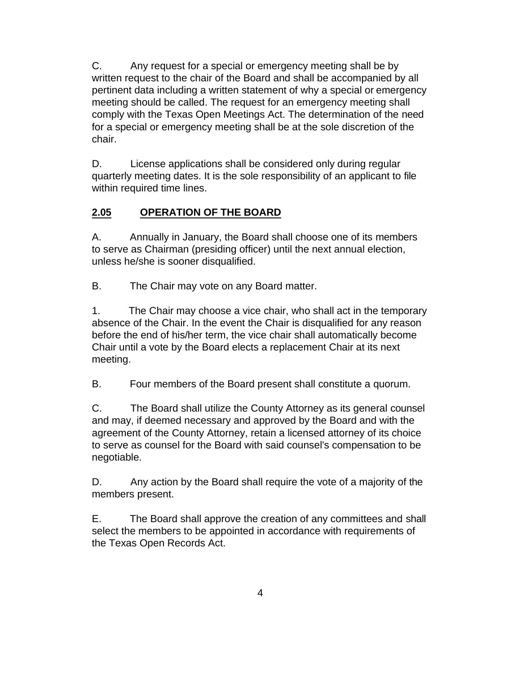C. Any request for a special or emergency meeting shall be by written request to the chair of the Board and shall be accompanied by all pertinent data including a written statement of why a special or emergency meeting should be called. The request for an emergency meeting shall comply with the Texas Open Meetings Act. The determination of the need for a special or emergency meeting shall be at the sole discretion of the chair.

D. License applications shall be considered only during regular quarterly meeting dates. It is the sole responsibility of an applicant to file within required time lines.

## **2.05 OPERATION OF THE BOARD**

A. Annually in January, the Board shall choose one of its members to serve as Chairman (presiding officer) until the next annual election, unless he/she is sooner disqualified.

B. The Chair may vote on any Board matter.

1. The Chair may choose a vice chair, who shall act in the temporary absence of the Chair. In the event the Chair is disqualified for any reason before the end of his/her term, the vice chair shall automatically become Chair until a vote by the Board elects a replacement Chair at its next meeting.

B. Four members of the Board present shall constitute a quorum.

C. The Board shall utilize the County Attorney as its general counsel and may, if deemed necessary and approved by the Board and with the agreement of the County Attorney, retain a licensed attorney of its choice to serve as counsel for the Board with said counsel's compensation to be negotiable.

D. Any action by the Board shall require the vote of a majority of the members present.

E. The Board shall approve the creation of any committees and shall select the members to be appointed in accordance with requirements of the Texas Open Records Act.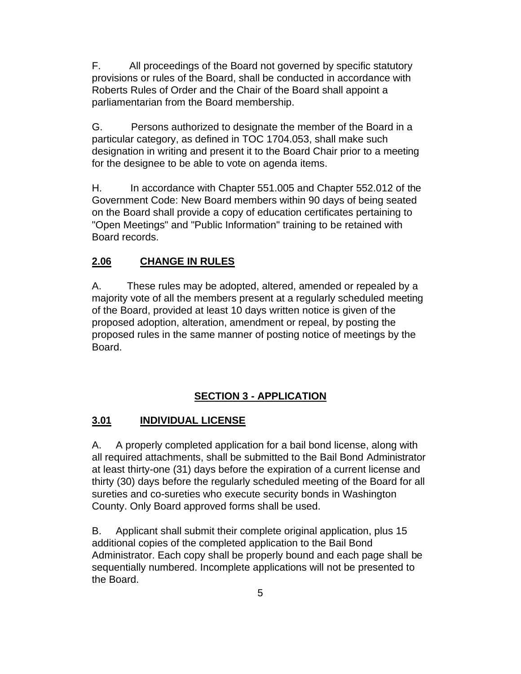F. All proceedings of the Board not governed by specific statutory provisions or rules of the Board, shall be conducted in accordance with Roberts Rules of Order and the Chair of the Board shall appoint a parliamentarian from the Board membership.

G. Persons authorized to designate the member of the Board in a particular category, as defined in TOC 1704.053, shall make such designation in writing and present it to the Board Chair prior to a meeting for the designee to be able to vote on agenda items.

H. In accordance with Chapter 551.005 and Chapter 552.012 of the Government Code: New Board members within 90 days of being seated on the Board shall provide a copy of education certificates pertaining to "Open Meetings" and "Public Information" training to be retained with Board records.

#### **2.06 CHANGE IN RULES**

A. These rules may be adopted, altered, amended or repealed by a majority vote of all the members present at a regularly scheduled meeting of the Board, provided at least 10 days written notice is given of the proposed adoption, alteration, amendment or repeal, by posting the proposed rules in the same manner of posting notice of meetings by the Board.

#### **SECTION 3 - APPLICATION**

#### **3.01 INDIVIDUAL LICENSE**

A. A properly completed application for a bail bond license, along with all required attachments, shall be submitted to the Bail Bond Administrator at least thirty-one (31) days before the expiration of a current license and thirty (30) days before the regularly scheduled meeting of the Board for all sureties and co-sureties who execute security bonds in Washington County. Only Board approved forms shall be used.

B. Applicant shall submit their complete original application, plus 15 additional copies of the completed application to the Bail Bond Administrator. Each copy shall be properly bound and each page shall be sequentially numbered. Incomplete applications will not be presented to the Board.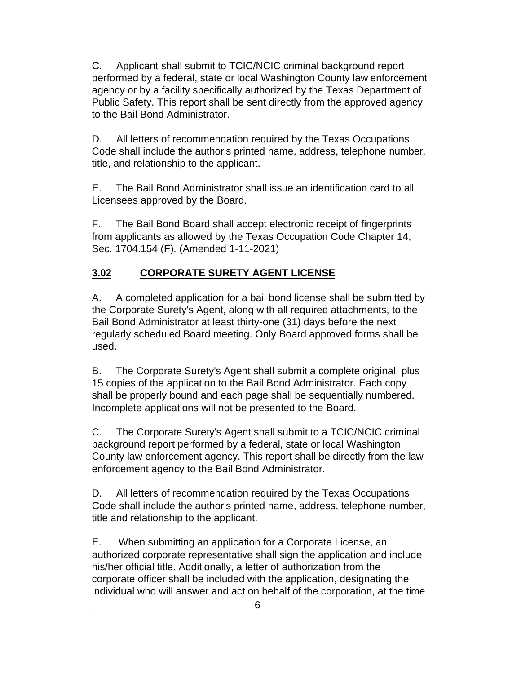C. Applicant shall submit to TCIC/NCIC criminal background report performed by a federal, state or local Washington County law enforcement agency or by a facility specifically authorized by the Texas Department of Public Safety. This report shall be sent directly from the approved agency to the Bail Bond Administrator.

D. All letters of recommendation required by the Texas Occupations Code shall include the author's printed name, address, telephone number, title, and relationship to the applicant.

E. The Bail Bond Administrator shall issue an identification card to all Licensees approved by the Board.

F. The Bail Bond Board shall accept electronic receipt of fingerprints from applicants as allowed by the Texas Occupation Code Chapter 14, Sec. 1704.154 (F). (Amended 1-11-2021)

## **3.02 CORPORATE SURETY AGENT LICENSE**

A. A completed application for a bail bond license shall be submitted by the Corporate Surety's Agent, along with all required attachments, to the Bail Bond Administrator at least thirty-one (31) days before the next regularly scheduled Board meeting. Only Board approved forms shall be used.

B. The Corporate Surety's Agent shall submit a complete original, plus 15 copies of the application to the Bail Bond Administrator. Each copy shall be properly bound and each page shall be sequentially numbered. Incomplete applications will not be presented to the Board.

C. The Corporate Surety's Agent shall submit to a TCIC/NCIC criminal background report performed by a federal, state or local Washington County law enforcement agency. This report shall be directly from the law enforcement agency to the Bail Bond Administrator.

D. All letters of recommendation required by the Texas Occupations Code shall include the author's printed name, address, telephone number, title and relationship to the applicant.

E. When submitting an application for a Corporate License, an authorized corporate representative shall sign the application and include his/her official title. Additionally, a letter of authorization from the corporate officer shall be included with the application, designating the individual who will answer and act on behalf of the corporation, at the time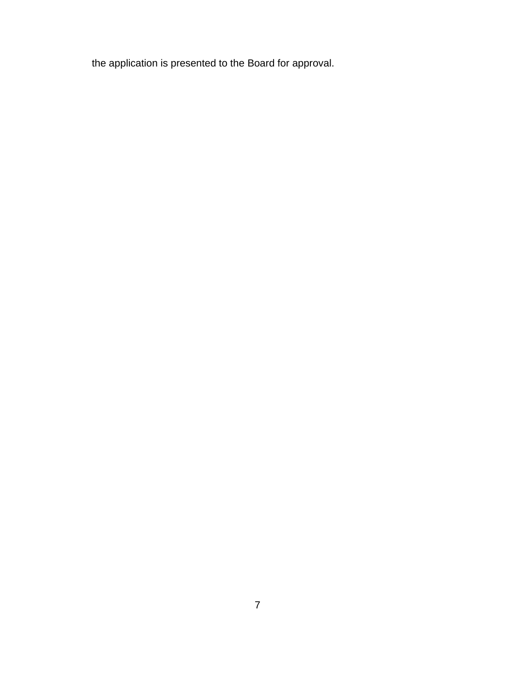the application is presented to the Board for approval.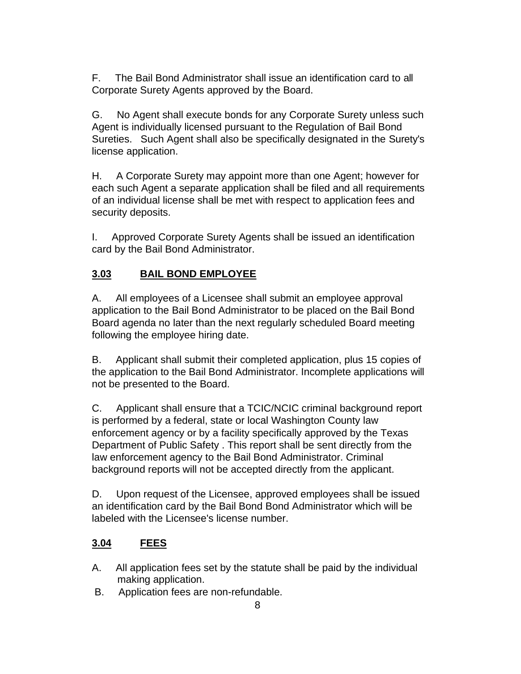F. The Bail Bond Administrator shall issue an identification card to all Corporate Surety Agents approved by the Board.

G. No Agent shall execute bonds for any Corporate Surety unless such Agent is individually licensed pursuant to the Regulation of Bail Bond Sureties. Such Agent shall also be specifically designated in the Surety's license application.

H. A Corporate Surety may appoint more than one Agent; however for each such Agent a separate application shall be filed and all requirements of an individual license shall be met with respect to application fees and security deposits.

I. Approved Corporate Surety Agents shall be issued an identification card by the Bail Bond Administrator.

## **3.03 BAIL BOND EMPLOYEE**

A. All employees of a Licensee shall submit an employee approval application to the Bail Bond Administrator to be placed on the Bail Bond Board agenda no later than the next regularly scheduled Board meeting following the employee hiring date.

B. Applicant shall submit their completed application, plus 15 copies of the application to the Bail Bond Administrator. Incomplete applications will not be presented to the Board.

C. Applicant shall ensure that a TCIC/NCIC criminal background report is performed by a federal, state or local Washington County law enforcement agency or by a facility specifically approved by the Texas Department of Public Safety . This report shall be sent directly from the law enforcement agency to the Bail Bond Administrator. Criminal background reports will not be accepted directly from the applicant.

D. Upon request of the Licensee, approved employees shall be issued an identification card by the Bail Bond Bond Administrator which will be labeled with the Licensee's license number.

## **3.04 FEES**

- A. All application fees set by the statute shall be paid by the individual making application.
- B. Application fees are non-refundable.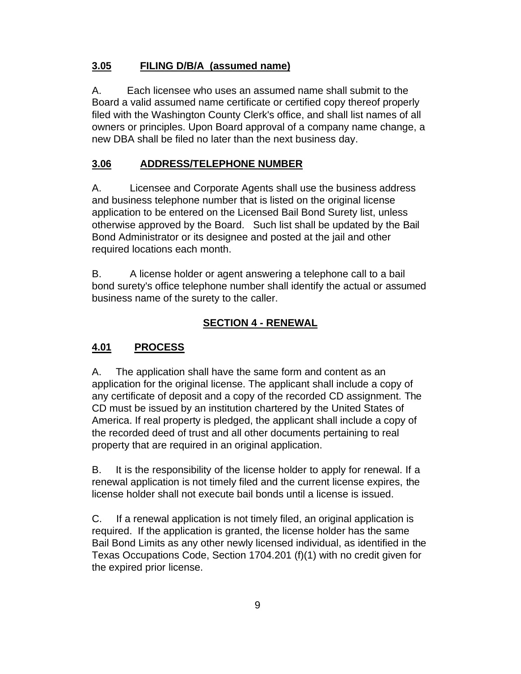#### **3.05 FILING D/B/A (assumed name)**

A. Each licensee who uses an assumed name shall submit to the Board a valid assumed name certificate or certified copy thereof properly filed with the Washington County Clerk's office, and shall list names of all owners or principles. Upon Board approval of a company name change, a new DBA shall be filed no later than the next business day.

## **3.06 ADDRESS/TELEPHONE NUMBER**

A. Licensee and Corporate Agents shall use the business address and business telephone number that is listed on the original license application to be entered on the Licensed Bail Bond Surety list, unless otherwise approved by the Board. Such list shall be updated by the Bail Bond Administrator or its designee and posted at the jail and other required locations each month.

B. A license holder or agent answering a telephone call to a bail bond surety's office telephone number shall identify the actual or assumed business name of the surety to the caller.

#### **SECTION 4 - RENEWAL**

#### **4.01 PROCESS**

A. The application shall have the same form and content as an application for the original license. The applicant shall include a copy of any certificate of deposit and a copy of the recorded CD assignment. The CD must be issued by an institution chartered by the United States of America. If real property is pledged, the applicant shall include a copy of the recorded deed of trust and all other documents pertaining to real property that are required in an original application.

B. It is the responsibility of the license holder to apply for renewal. If a renewal application is not timely filed and the current license expires, the license holder shall not execute bail bonds until a license is issued.

C. If a renewal application is not timely filed, an original application is required. If the application is granted, the license holder has the same Bail Bond Limits as any other newly licensed individual, as identified in the Texas Occupations Code, Section 1704.201 (f)(1) with no credit given for the expired prior license.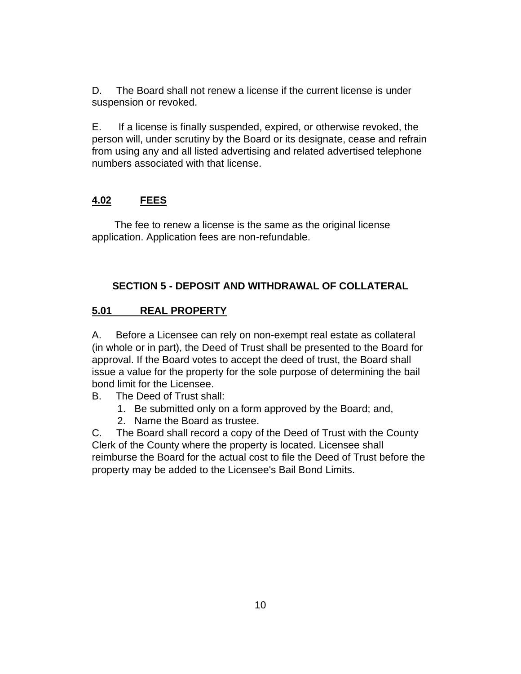D. The Board shall not renew a license if the current license is under suspension or revoked.

E. If a license is finally suspended, expired, or otherwise revoked, the person will, under scrutiny by the Board or its designate, cease and refrain from using any and all listed advertising and related advertised telephone numbers associated with that license.

#### **4.02 FEES**

The fee to renew a license is the same as the original license application. Application fees are non-refundable.

#### **SECTION 5 - DEPOSIT AND WITHDRAWAL OF COLLATERAL**

#### **5.01 REAL PROPERTY**

A. Before a Licensee can rely on non-exempt real estate as collateral (in whole or in part), the Deed of Trust shall be presented to the Board for approval. If the Board votes to accept the deed of trust, the Board shall issue a value for the property for the sole purpose of determining the bail bond limit for the Licensee.

- B. The Deed of Trust shall:
	- 1. Be submitted only on a form approved by the Board; and,
	- 2. Name the Board as trustee.

C. The Board shall record a copy of the Deed of Trust with the County Clerk of the County where the property is located. Licensee shall reimburse the Board for the actual cost to file the Deed of Trust before the property may be added to the Licensee's Bail Bond Limits.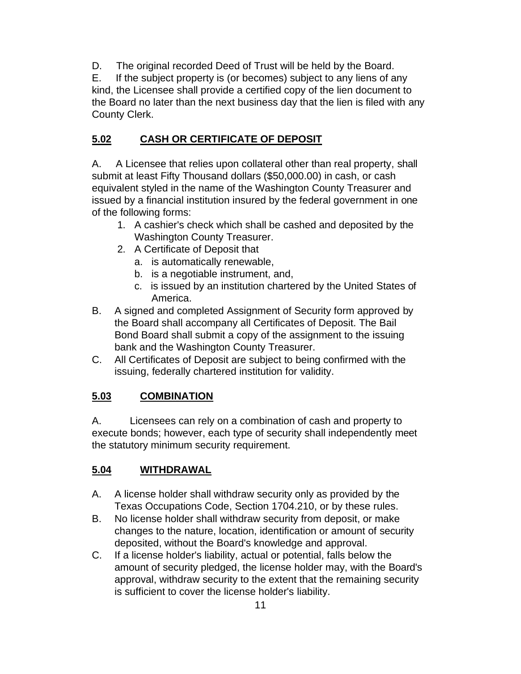D. The original recorded Deed of Trust will be held by the Board.

E. If the subject property is (or becomes) subject to any liens of any kind, the Licensee shall provide a certified copy of the lien document to the Board no later than the next business day that the lien is filed with any County Clerk.

## **5.02 CASH OR CERTIFICATE OF DEPOSIT**

A. A Licensee that relies upon collateral other than real property, shall submit at least Fifty Thousand dollars (\$50,000.00) in cash, or cash equivalent styled in the name of the Washington County Treasurer and issued by a financial institution insured by the federal government in one of the following forms:

- 1. A cashier's check which shall be cashed and deposited by the Washington County Treasurer.
- 2. A Certificate of Deposit that
	- a. is automatically renewable,
	- b. is a negotiable instrument, and,
	- c. is issued by an institution chartered by the United States of America.
- B. A signed and completed Assignment of Security form approved by the Board shall accompany all Certificates of Deposit. The Bail Bond Board shall submit a copy of the assignment to the issuing bank and the Washington County Treasurer.
- C. All Certificates of Deposit are subject to being confirmed with the issuing, federally chartered institution for validity.

## **5.03 COMBINATION**

A. Licensees can rely on a combination of cash and property to execute bonds; however, each type of security shall independently meet the statutory minimum security requirement.

## **5.04 WITHDRAWAL**

- A. A license holder shall withdraw security only as provided by the Texas Occupations Code, Section 1704.210, or by these rules.
- B. No license holder shall withdraw security from deposit, or make changes to the nature, location, identification or amount of security deposited, without the Board's knowledge and approval.
- C. If a license holder's liability, actual or potential, falls below the amount of security pledged, the license holder may, with the Board's approval, withdraw security to the extent that the remaining security is sufficient to cover the license holder's liability.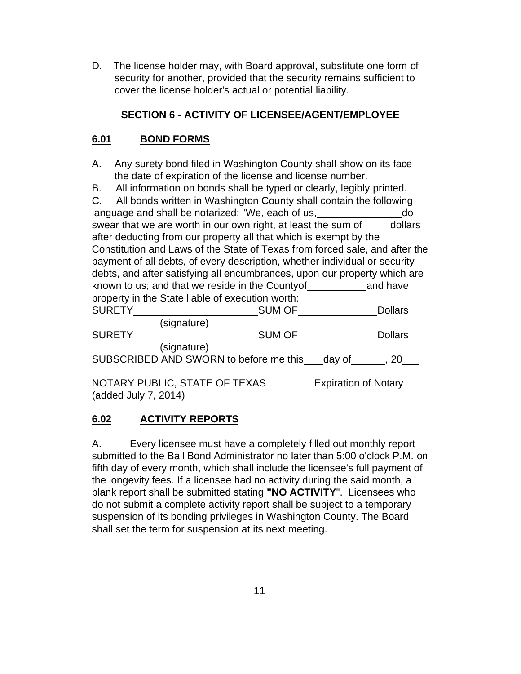D. The license holder may, with Board approval, substitute one form of security for another, provided that the security remains sufficient to cover the license holder's actual or potential liability.

#### **SECTION 6 - ACTIVITY OF LICENSEE/AGENT/EMPLOYEE**

## **6.01 BOND FORMS**

- A. Any surety bond filed in Washington County shall show on its face the date of expiration of the license and license number.
- B. All information on bonds shall be typed or clearly, legibly printed.

| C. All bonds written in Washington County shall contain the following       |                                                   |               |                |
|-----------------------------------------------------------------------------|---------------------------------------------------|---------------|----------------|
|                                                                             | language and shall be notarized: "We, each of us, |               | do             |
| swear that we are worth in our own right, at least the sum of dollars       |                                                   |               |                |
| after deducting from our property all that which is exempt by the           |                                                   |               |                |
| Constitution and Laws of the State of Texas from forced sale, and after the |                                                   |               |                |
| payment of all debts, of every description, whether individual or security  |                                                   |               |                |
| debts, and after satisfying all encumbrances, upon our property which are   |                                                   |               |                |
| known to us; and that we reside in the County of The Sand have              |                                                   |               |                |
| property in the State liable of execution worth:                            |                                                   |               |                |
| <b>SURETY</b>                                                               |                                                   | SUM OF        | <b>Dollars</b> |
|                                                                             | (signature)                                       |               |                |
| <b>SURETY</b>                                                               |                                                   | <b>SUM OF</b> | <b>Dollars</b> |
|                                                                             | (signature)                                       |               |                |
| SUBSCRIBED AND SWORN to before me this day of , 20                          |                                                   |               |                |
|                                                                             |                                                   |               |                |

NOTARY PUBLIC, STATE OF TEXAS Expiration of Notary (added July 7, 2014)

## **6.02 ACTIVITY REPORTS**

A. Every licensee must have a completely filled out monthly report submitted to the Bail Bond Administrator no later than 5:00 o'clock P.M. on fifth day of every month, which shall include the licensee's full payment of the longevity fees. If a licensee had no activity during the said month, a blank report shall be submitted stating **"NO ACTIVITY**". Licensees who do not submit a complete activity report shall be subject to a temporary suspension of its bonding privileges in Washington County. The Board shall set the term for suspension at its next meeting.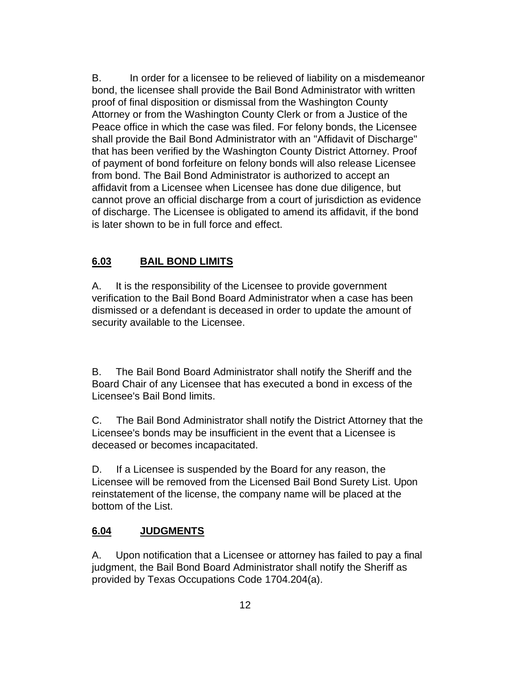B. In order for a licensee to be relieved of liability on a misdemeanor bond, the licensee shall provide the Bail Bond Administrator with written proof of final disposition or dismissal from the Washington County Attorney or from the Washington County Clerk or from a Justice of the Peace office in which the case was filed. For felony bonds, the Licensee shall provide the Bail Bond Administrator with an "Affidavit of Discharge" that has been verified by the Washington County District Attorney. Proof of payment of bond forfeiture on felony bonds will also release Licensee from bond. The Bail Bond Administrator is authorized to accept an affidavit from a Licensee when Licensee has done due diligence, but cannot prove an official discharge from a court of jurisdiction as evidence of discharge. The Licensee is obligated to amend its affidavit, if the bond is later shown to be in full force and effect.

## **6.03 BAIL BOND LIMITS**

A. It is the responsibility of the Licensee to provide government verification to the Bail Bond Board Administrator when a case has been dismissed or a defendant is deceased in order to update the amount of security available to the Licensee.

B. The Bail Bond Board Administrator shall notify the Sheriff and the Board Chair of any Licensee that has executed a bond in excess of the Licensee's Bail Bond limits.

C. The Bail Bond Administrator shall notify the District Attorney that the Licensee's bonds may be insufficient in the event that a Licensee is deceased or becomes incapacitated.

D. If a Licensee is suspended by the Board for any reason, the Licensee will be removed from the Licensed Bail Bond Surety List. Upon reinstatement of the license, the company name will be placed at the bottom of the List.

#### **6.04 JUDGMENTS**

A. Upon notification that a Licensee or attorney has failed to pay a final judgment, the Bail Bond Board Administrator shall notify the Sheriff as provided by Texas Occupations Code 1704.204(a).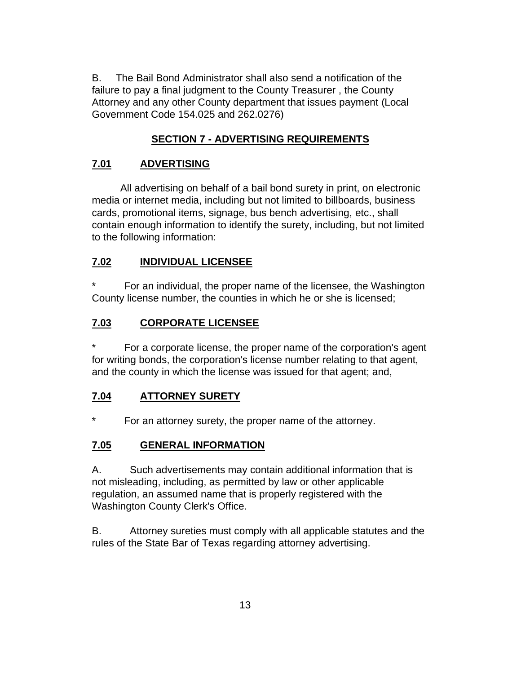B. The Bail Bond Administrator shall also send a notification of the failure to pay a final judgment to the County Treasurer , the County Attorney and any other County department that issues payment (Local Government Code 154.025 and 262.0276)

## **SECTION 7 - ADVERTISING REQUIREMENTS**

## **7.01 ADVERTISING**

All advertising on behalf of a bail bond surety in print, on electronic media or internet media, including but not limited to billboards, business cards, promotional items, signage, bus bench advertising, etc., shall contain enough information to identify the surety, including, but not limited to the following information:

## **7.02 INDIVIDUAL LICENSEE**

For an individual, the proper name of the licensee, the Washington County license number, the counties in which he or she is licensed;

## **7.03 CORPORATE LICENSEE**

For a corporate license, the proper name of the corporation's agent for writing bonds, the corporation's license number relating to that agent, and the county in which the license was issued for that agent; and,

## **7.04 ATTORNEY SURETY**

For an attorney surety, the proper name of the attorney.

## **7.05 GENERAL INFORMATION**

A. Such advertisements may contain additional information that is not misleading, including, as permitted by law or other applicable regulation, an assumed name that is properly registered with the Washington County Clerk's Office.

B. Attorney sureties must comply with all applicable statutes and the rules of the State Bar of Texas regarding attorney advertising.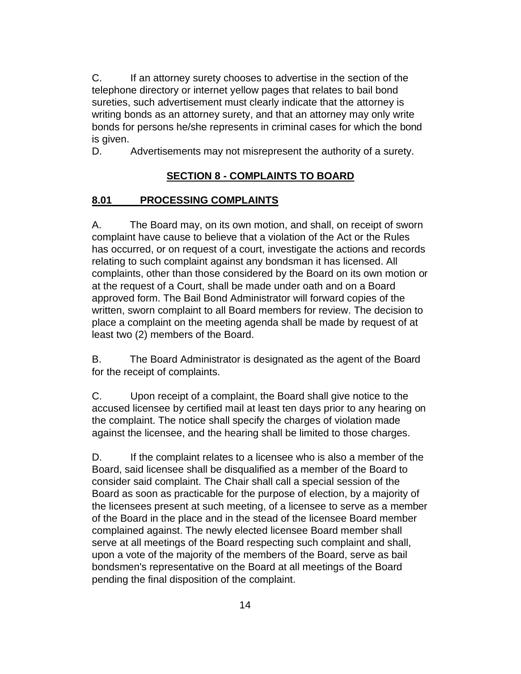C. If an attorney surety chooses to advertise in the section of the telephone directory or internet yellow pages that relates to bail bond sureties, such advertisement must clearly indicate that the attorney is writing bonds as an attorney surety, and that an attorney may only write bonds for persons he/she represents in criminal cases for which the bond is given.

D. Advertisements may not misrepresent the authority of a surety.

# **SECTION 8 - COMPLAINTS TO BOARD**

#### **8.01 PROCESSING COMPLAINTS**

A. The Board may, on its own motion, and shall, on receipt of sworn complaint have cause to believe that a violation of the Act or the Rules has occurred, or on request of a court, investigate the actions and records relating to such complaint against any bondsman it has licensed. All complaints, other than those considered by the Board on its own motion or at the request of a Court, shall be made under oath and on a Board approved form. The Bail Bond Administrator will forward copies of the written, sworn complaint to all Board members for review. The decision to place a complaint on the meeting agenda shall be made by request of at least two (2) members of the Board.

B. The Board Administrator is designated as the agent of the Board for the receipt of complaints.

C. Upon receipt of a complaint, the Board shall give notice to the accused licensee by certified mail at least ten days prior to any hearing on the complaint. The notice shall specify the charges of violation made against the licensee, and the hearing shall be limited to those charges.

D. If the complaint relates to a licensee who is also a member of the Board, said licensee shall be disqualified as a member of the Board to consider said complaint. The Chair shall call a special session of the Board as soon as practicable for the purpose of election, by a majority of the licensees present at such meeting, of a licensee to serve as a member of the Board in the place and in the stead of the licensee Board member complained against. The newly elected licensee Board member shall serve at all meetings of the Board respecting such complaint and shall, upon a vote of the majority of the members of the Board, serve as bail bondsmen's representative on the Board at all meetings of the Board pending the final disposition of the complaint.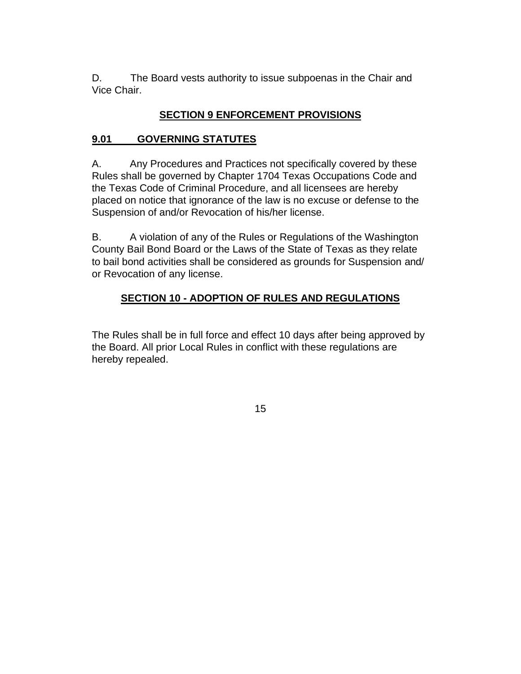D. The Board vests authority to issue subpoenas in the Chair and Vice Chair.

#### **SECTION 9 ENFORCEMENT PROVISIONS**

#### **9.01 GOVERNING STATUTES**

A. Any Procedures and Practices not specifically covered by these Rules shall be governed by Chapter 1704 Texas Occupations Code and the Texas Code of Criminal Procedure, and all licensees are hereby placed on notice that ignorance of the law is no excuse or defense to the Suspension of and/or Revocation of his/her license.

B. A violation of any of the Rules or Regulations of the Washington County Bail Bond Board or the Laws of the State of Texas as they relate to bail bond activities shall be considered as grounds for Suspension and/ or Revocation of any license.

#### **SECTION 10 - ADOPTION OF RULES AND REGULATIONS**

The Rules shall be in full force and effect 10 days after being approved by the Board. All prior Local Rules in conflict with these regulations are hereby repealed.

15